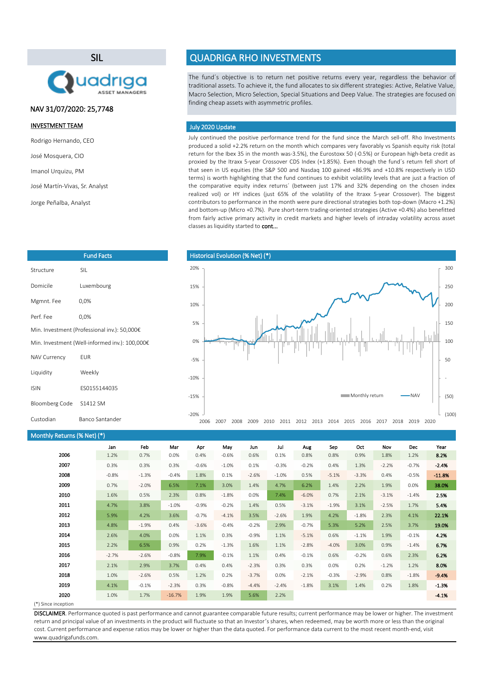SIL



Fund Facts

# NAV 31/07/2020: 25,7748

## INVESTMENT TEAM

Rodrigo Hernando, CEO

José Mosquera, CIO

Imanol Urquizu, PM

```
José Martín-Vivas, Sr. Analyst
```
Jorge Peñalba, Analyst

Structure SIL

Mgmnt. Fee 0,0% Perf. Fee 0.0%

NAV Currency EUR Liquidity Weekly

Domicile Luxembourg

Min. Investment (Professional inv.): 50,000€ Min. Investment (Well-informed inv.): 100,000€

# QUADRIGA RHO INVESTMENTS

The fund´s objective is to return net positive returns every year, regardless the behavior of traditional assets. To achieve it, the fund allocates to six different strategies: Active, Relative Value, Macro Selection, Micro Selection, Special Situations and Deep Value. The strategies are focused on finding cheap assets with asymmetric profiles.

### July 2020 Update

July continued the positive performance trend for the fund since the March sell-off. Rho Investments produced a solid +2.2% return on the month which compares very favorably vs Spanish equity risk (total return for the Ibex 35 in the month was-3.5%), the Eurostoxx 50 (-0.5%) or European high-beta credit as proxied by the Itraxx 5-year Crossover CDS Index (+1.85%). Even though the fund´s return fell short of that seen in US equities (the S&P 500 and Nasdaq 100 gained +86.9% and +10.8% respectively in USD terms) is worth highlighting that the fund continues to exhibit volatility levels that are just a fraction of the comparative equity index returns´ (between just 17% and 32% depending on the chosen index realized vol) or HY indices (just 65% of the volatility of the Itraxx 5-year Crossover). The biggest contributors to performance in the month were pure directional strategies both top-down (Macro +1.2%) and bottom-up (Micro +0.7%). Pure short-term trading-oriented strategies (Active +0.4%) also benefitted from fairly active primary activity in credit markets and higher levels of intraday volatility across asset classes as liquidity started to cont...



#### Monthly Returns (% Net) (\*)

Bloomberg Code S1412 SM

ISIN ES0155144035

Custodian Banco Santander

|      | Jan     | Feb     | Mar      | Apr     | May     | Jun     | Jul     | Aug     | Sep     | Oct     | Nov     | <b>Dec</b> | Year     |
|------|---------|---------|----------|---------|---------|---------|---------|---------|---------|---------|---------|------------|----------|
| 2006 | 1.2%    | 0.7%    | 0.0%     | 0.4%    | $-0.6%$ | 0.6%    | 0.1%    | 0.8%    | 0.8%    | 0.9%    | 1.8%    | 1.2%       | 8.2%     |
| 2007 | 0.3%    | 0.3%    | 0.3%     | $-0.6%$ | $-1.0%$ | 0.1%    | $-0.3%$ | $-0.2%$ | 0.4%    | 1.3%    | $-2.2%$ | $-0.7%$    | $-2.4%$  |
| 2008 | $-0.8%$ | $-1.3%$ | $-0.4%$  | 1.8%    | 0.1%    | $-2.6%$ | $-1.0%$ | 0.5%    | $-5.1%$ | $-3.3%$ | 0.4%    | $-0.5%$    | $-11.8%$ |
| 2009 | 0.7%    | $-2.0%$ | 6.5%     | 7.1%    | 3.0%    | 1.4%    | 4.7%    | 6.2%    | 1.4%    | 2.2%    | 1.9%    | 0.0%       | 38.0%    |
| 2010 | 1.6%    | 0.5%    | 2.3%     | 0.8%    | $-1.8%$ | 0.0%    | 7.4%    | $-6.0%$ | 0.7%    | 2.1%    | $-3.1%$ | $-1.4%$    | 2.5%     |
| 2011 | 4.7%    | 3.8%    | $-1.0%$  | $-0.9%$ | $-0.2%$ | 1.4%    | 0.5%    | $-3.1%$ | $-1.9%$ | 3.1%    | $-2.5%$ | 1.7%       | 5.4%     |
| 2012 | 5.9%    | 4.2%    | 3.6%     | $-0.7%$ | $-4.1%$ | 3.5%    | $-2.6%$ | 1.9%    | 4.2%    | $-1.8%$ | 2.3%    | 4.1%       | 22.1%    |
| 2013 | 4.8%    | $-1.9%$ | 0.4%     | $-3.6%$ | $-0.4%$ | $-0.2%$ | 2.9%    | $-0.7%$ | 5.3%    | 5.2%    | 2.5%    | 3.7%       | 19.0%    |
| 2014 | 2.6%    | 4.0%    | 0.0%     | 1.1%    | 0.3%    | $-0.9%$ | 1.1%    | $-5.1%$ | 0.6%    | $-1.1%$ | 1.9%    | $-0.1%$    | 4.2%     |
| 2015 | 2.2%    | 6.5%    | 0.9%     | 0.2%    | $-1.3%$ | 1.6%    | 1.1%    | $-2.8%$ | $-4.0%$ | 3.0%    | 0.9%    | $-1.4%$    | 6.7%     |
| 2016 | $-2.7%$ | $-2.6%$ | $-0.8%$  | 7.9%    | $-0.1%$ | 1.1%    | 0.4%    | $-0.1%$ | 0.6%    | $-0.2%$ | 0.6%    | 2.3%       | 6.2%     |
| 2017 | 2.1%    | 2.9%    | 3.7%     | 0.4%    | 0.4%    | $-2.3%$ | 0.3%    | 0.3%    | 0.0%    | 0.2%    | $-1.2%$ | 1.2%       | 8.0%     |
| 2018 | 1.0%    | $-2.6%$ | 0.5%     | 1.2%    | 0.2%    | $-3.7%$ | 0.0%    | $-2.1%$ | $-0.3%$ | $-2.9%$ | 0.8%    | $-1.8%$    | $-9.4%$  |
| 2019 | 4.1%    | $-0.1%$ | $-2.3%$  | 0.3%    | $-0.8%$ | $-4.4%$ | $-2.4%$ | $-1.8%$ | 3.1%    | 1.4%    | 0.2%    | 1.8%       | $-1.3%$  |
| 2020 | 1.0%    | 1.7%    | $-16.7%$ | 1.9%    | 1.9%    | 5.6%    | 2.2%    |         |         |         |         |            | $-4.1%$  |

#### (\*) Since inception

DISCLAIMER. Performance quoted is past performance and cannot guarantee comparable future results; current performance may be lower or higher. The investment return and principal value of an investments in the product will fluctuate so that an Investor's shares, when redeemed, may be worth more or less than the original cost. Current performance and expense ratios may be lower or higher than the data quoted. For performance data current to the most recent month-end, visit www.quadrigafunds.com.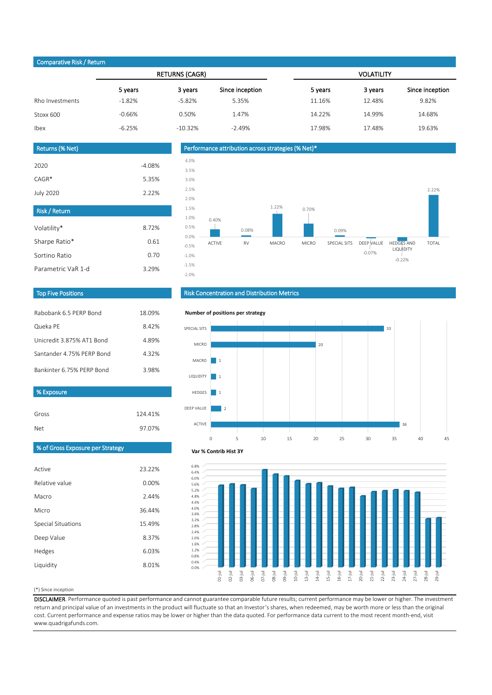# Comparative Risk / Return

|                 |          | <b>RETURNS (CAGR)</b> |                 | <b>VOLATILITY</b> |         |                 |  |  |
|-----------------|----------|-----------------------|-----------------|-------------------|---------|-----------------|--|--|
|                 | 5 years  | 3 years               | Since inception | 5 years           | 3 years | Since inception |  |  |
| Rho Investments | $-1.82%$ | $-5.82%$              | 5.35%           | 11.16%            | 12.48%  | 9.82%           |  |  |
| Stoxx 600       | $-0.66%$ | 0.50%                 | 1.47%           | 14.22%            | 14.99%  | 14.68%          |  |  |
| Ibex            | $-6.25%$ | $-10.32%$             | $-2.49%$        | 17.98%            | 17.48%  | 19.63%          |  |  |
|                 |          |                       |                 |                   |         |                 |  |  |

| Returns (% Net)      |          |
|----------------------|----------|
| 2020                 | $-4.08%$ |
| $CAGR*$              | 5.35%    |
| <b>July 2020</b>     | 2.22%    |
| <b>Risk / Return</b> |          |
| Volatility*          | 8.72%    |
| Sharpe Ratio*        | 0.61     |
| Sortino Ratio        | 0.70     |
| Parametric VaR 1-d   | 3.29%    |
|                      |          |



### Top Five Positions

| Rabobank 6.5 PFRP Bond    | 18.09% |
|---------------------------|--------|
| Queka PE                  | 842%   |
| Unicredit 3 875% AT1 Bond | 489%   |
| Santander 4.75% PFRP Bond | 432%   |
| Bankinter 6.75% PFRP Bond | 3.98%  |

| % Exposure |         |
|------------|---------|
|            |         |
| Gross      | 124.41% |
| Net        | 97.07%  |

# Risk Concentration and Distribution Metrics



# % of Gross Exposure per Strategy

| Active             | 23.22%   |
|--------------------|----------|
| Relative value     | $0.00\%$ |
| Macro              | 2.44%    |
| Micro              | 36.44%   |
| Special Situations | 15.49%   |
| Deep Value         | 8.37%    |
| Hedges             | 6.03%    |
| Liquidity          | 8.01%    |





(\*) Since inception

DISCLAIMER. Performance quoted is past performance and cannot guarantee comparable future results; current performance may be lower or higher. The investment return and principal value of an investments in the product will fluctuate so that an Investor's shares, when redeemed, may be worth more or less than the original cost. Current performance and expense ratios may be lower or higher than the data quoted. For performance data current to the most recent month-end, visit www.quadrigafunds.com.

0.0% 0.4% 0.8% 1.2% 1.6% 2.0% 2.4% 2.8% 3.2% 3.6% 4.0% 4.4% 4.8% 5.2% 5.6%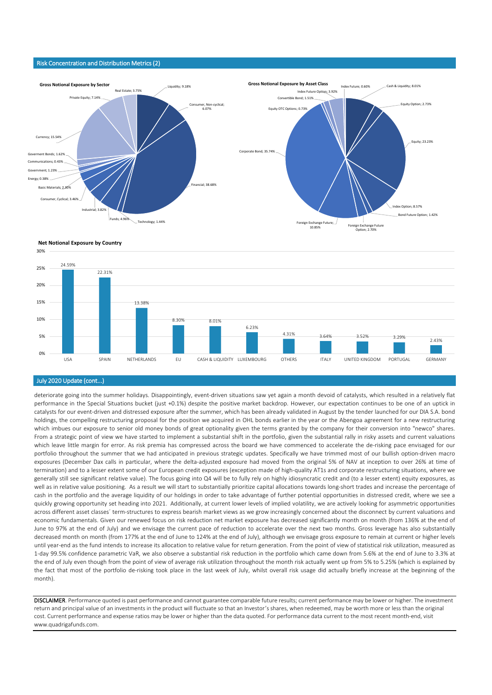#### Risk Concentration and Distribution Metrics (2)





#### July 2020 Update (cont...)

deteriorate going into the summer holidays. Disappointingly, event-driven situations saw yet again a month devoid of catalysts, which resulted in a relatively flat performance in the Special Situations bucket (just +0.1%) despite the positive market backdrop. However, our expectation continues to be one of an uptick in catalysts for our event-driven and distressed exposure after the summer, which has been already validated in August by the tender launched for our DIA S.A. bond holdings, the compelling restructuring proposal for the position we acquired in OHL bonds earlier in the year or the Abengoa agreement for a new restructuring which imbues our exposure to senior old money bonds of great optionality given the terms granted by the company for their conversion into "newco" shares. From a strategic point of view we have started to implement a substantial shift in the portfolio, given the substantial rally in risky assets and current valuations which leave little margin for error. As risk premia has compressed across the board we have commenced to accelerate the de-risking pace envisaged for our portfolio throughout the summer that we had anticipated in previous strategic updates. Specifically we have trimmed most of our bullish option-driven macro exposures (December Dax calls in particular, where the delta-adjusted exposure had moved from the original 5% of NAV at inception to over 26% at time of termination) and to a lesser extent some of our European credit exposures (exception made of high-quality AT1s and corporate restructuring situations, where we generally still see significant relative value). The focus going into Q4 will be to fully rely on highly idiosyncratic credit and (to a lesser extent) equity exposures, as well as in relative value positioning. As a result we will start to substantially prioritize capital allocations towards long-short trades and increase the percentage of cash in the portfolio and the average liquidity of our holdings in order to take advantage of further potential opportunities in distressed credit, where we see a quickly growing opportunity set heading into 2021. Additionally, at current lower levels of implied volatility, we are actively looking for asymmetric opportunities across different asset classes´ term-structures to express bearish market views as we grow increasingly concerned about the disconnect by current valuations and economic fundamentals. Given our renewed focus on risk reduction net market exposure has decreased significantly month on month (from 136% at the end of June to 97% at the end of July) and we envisage the current pace of reduction to accelerate over the next two months. Gross leverage has also substantially decreased month on month (from 177% at the end of June to 124% at the end of July), although we envisage gross exposure to remain at current or higher levels until year-end as the fund intends to increase its allocation to relative value for return generation. From the point of view of statistical risk utilization, measured as 1-day 99.5% confidence parametric VaR, we also observe a substantial risk reduction in the portfolio which came down from 5.6% at the end of June to 3.3% at the end of July even though from the point of view of average risk utilization throughout the month risk actually went up from 5% to 5.25% (which is explained by the fact that most of the portfolio de-risking took place in the last week of July, whilst overall risk usage did actually briefly increase at the beginning of the month).

DISCLAIMER. Performance quoted is past performance and cannot guarantee comparable future results; current performance may be lower or higher. The investment return and principal value of an investments in the product will fluctuate so that an Investor's shares, when redeemed, may be worth more or less than the original cost. Current performance and expense ratios may be lower or higher than the data quoted. For performance data current to the most recent month-end, visit www.quadrigafunds.com.